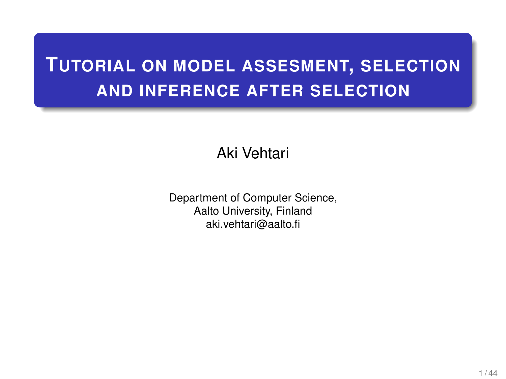# **TUTORIAL ON MODEL ASSESMENT, SELECTION AND INFERENCE AFTER SELECTION**

Aki Vehtari

Department of Computer Science, Aalto University, Finland aki.vehtari@aalto.fi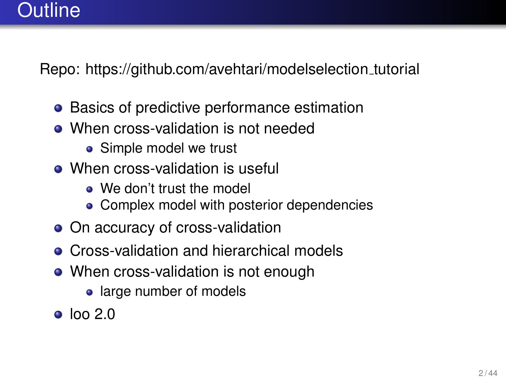#### Outline

Repo: [https://github.com/avehtari/modelselection](https://github.com/avehtari/modelselection_tutorial)\_tutorial

- Basics of predictive performance estimation
- When cross-validation is not needed
	- Simple model we trust
- When cross-validation is useful
	- We don't trust the model
	- Complex model with posterior dependencies
- On accuracy of cross-validation
- **Cross-validation and hierarchical models**
- When cross-validation is not enough
	- large number of models
- $\bullet$  loo 2.0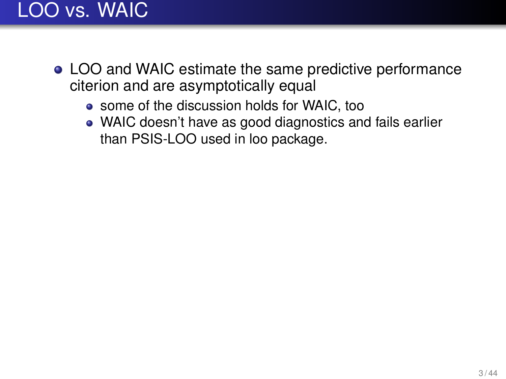# LOO vs. WAIC

- LOO and WAIC estimate the same predictive performance citerion and are asymptotically equal
	- some of the discussion holds for WAIC, too
	- WAIC doesn't have as good diagnostics and fails earlier than PSIS-LOO used in loo package.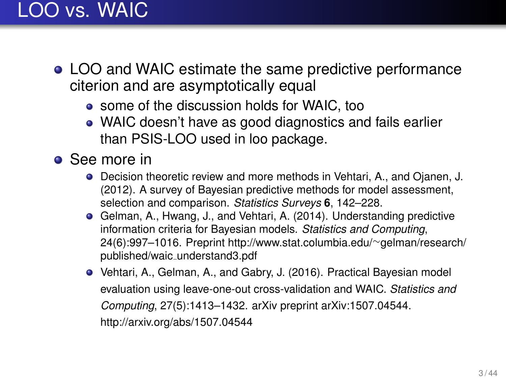# LOO vs. WAIC

- LOO and WAIC estimate the same predictive performance citerion and are asymptotically equal
	- some of the discussion holds for WAIC, too
	- WAIC doesn't have as good diagnostics and fails earlier than PSIS-LOO used in loo package.
- **•** See more in
	- Decision theoretic review and more methods in Vehtari, A., and Ojanen, J. (2012). A survey of Bayesian predictive methods for model assessment, selection and comparison. *Statistics Surveys* **6**, 142–228.
	- Gelman, A., Hwang, J., and Vehtari, A. (2014). Understanding predictive information criteria for Bayesian models. *Statistics and Computing*, 24(6):997–1016. Preprint [http://www.stat.columbia.edu/](http://www.stat.columbia.edu/~gelman/research/published/waic_understand3.pdf)∼gelman/research/ published/waic [understand3.pdf](http://www.stat.columbia.edu/~gelman/research/published/waic_understand3.pdf)
	- Vehtari, A., Gelman, A., and Gabry, J. (2016). Practical Bayesian model evaluation using leave-one-out cross-validation and WAIC. *Statistics and Computing*, 27(5):1413–1432. arXiv preprint arXiv:1507.04544. <http://arxiv.org/abs/1507.04544>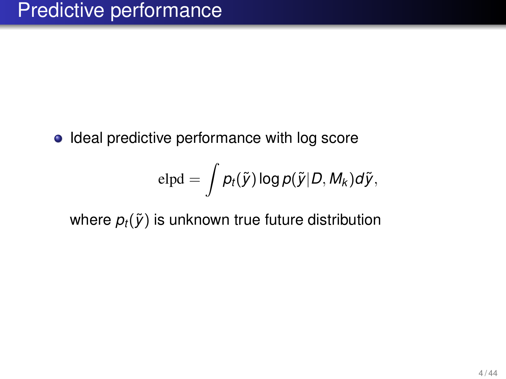• Ideal predictive performance with log score

$$
\text{elpd} = \int p_t(\widetilde{\textbf{\textit{y}}}) \log p(\widetilde{\textbf{\textit{y}}}|D, \textbf{\textit{M}}_k) d\widetilde{\textbf{\textit{y}}},
$$

where  $p_t(\tilde{y})$  is unknown true future distribution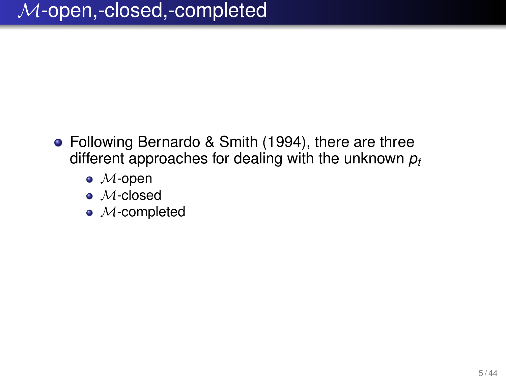- Following Bernardo & Smith (1994), there are three different approaches for dealing with the unknown *p<sup>t</sup>*
	- $\bullet$  *M*-open
	- M-closed
	- $\bullet$  *M*-completed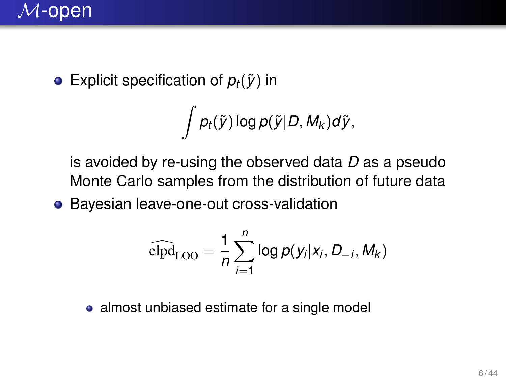

**•** Explicit specification of  $p_t(\tilde{y})$  in

$$
\int p_t(\tilde{\mathsf{y}})\log p(\tilde{\mathsf{y}}|D, M_k)d\tilde{\mathsf{y}},
$$

is avoided by re-using the observed data *D* as a pseudo Monte Carlo samples from the distribution of future data

Bayesian leave-one-out cross-validation

$$
\widehat{\mathrm{elpd}}_{\mathrm{LOO}} = \frac{1}{n} \sum_{i=1}^{n} \log p(y_i | x_i, D_{-i}, M_k)
$$

• almost unbiased estimate for a single model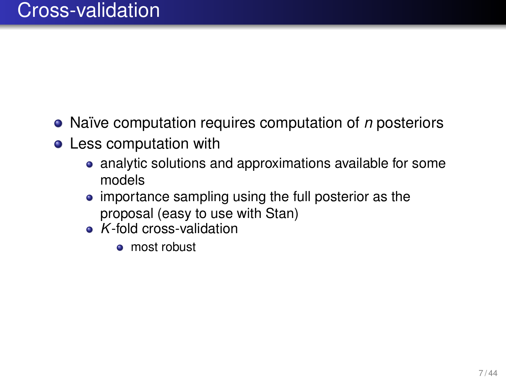- Naïve computation requires computation of *n* posteriors
- **•** Less computation with
	- analytic solutions and approximations available for some models
	- importance sampling using the full posterior as the proposal (easy to use with Stan)
	- *K*-fold cross-validation
		- most robust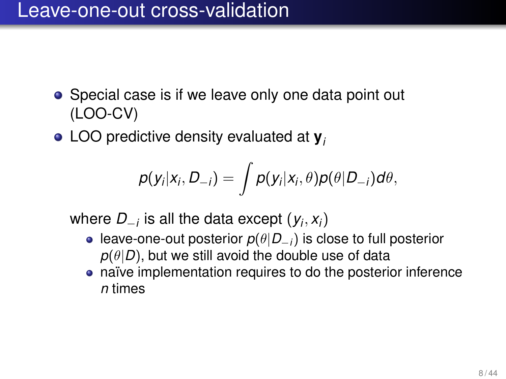#### Leave-one-out cross-validation

- Special case is if we leave only one data point out (LOO-CV)
- LOO predictive density evaluated at **y***<sup>i</sup>*

$$
p(y_i|x_i,D_{-i})=\int p(y_i|x_i,\theta)p(\theta|D_{-i})d\theta,
$$

where *D*−*<sup>i</sup>* is all the data except (*y<sup>i</sup>* , *xi*)

- leave-one-out posterior *p*(θ|*D*<sup>−</sup>*i*) is close to full posterior  $p(\theta|D)$ , but we still avoid the double use of data
- naïve implementation requires to do the posterior inference *n* times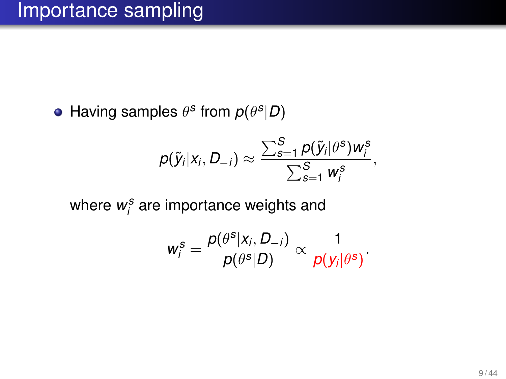Having samples  $\theta^s$  from  $p(\theta^s|D)$ 

$$
p(\tilde{y}_i|x_i, D_{-i}) \approx \frac{\sum_{s=1}^S p(\tilde{y}_i|\theta^s)w_i^s}{\sum_{s=1}^S w_i^s},
$$

where  $w_i^s$  are importance weights and

$$
w_i^s = \frac{p(\theta^s | x_i, D_{-i})}{p(\theta^s | D)} \propto \frac{1}{p(y_i | \theta^s)}.
$$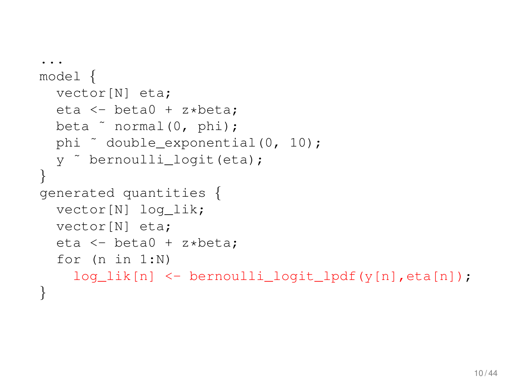```
...
model {
  vector[N] eta;
  eta <- beta0 + z*beta;
  beta ˜ normal(0, phi);
  phi ˜ double_exponential(0, 10);
  y ˜ bernoulli_logit(eta);
}
generated quantities {
  vector[N] log_lik;
  vector[N] eta;
  eta <- beta0 + z*beta;
  for (n in 1:N)
    log_lik[n] <- bernoulli_logit_lpdf(y[n],eta[n]);
}
```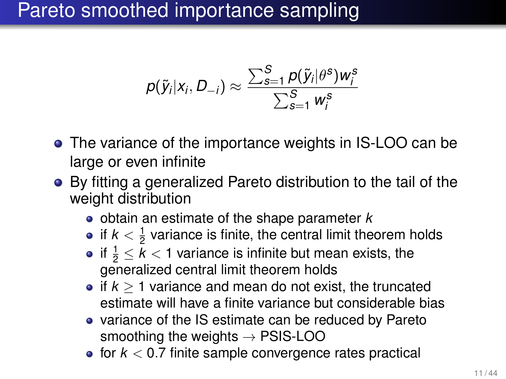# Pareto smoothed importance sampling

$$
p(\widetilde{\mathsf{y}}_i|\mathsf{x}_i,\mathsf{D}_{-i}) \approx \frac{\sum_{s=1}^S p(\widetilde{\mathsf{y}}_i|\theta^s) \mathsf{w}_i^s}{\sum_{s=1}^S \mathsf{w}_i^s}
$$

- The variance of the importance weights in IS-LOO can be large or even infinite
- By fitting a generalized Pareto distribution to the tail of the weight distribution
	- obtain an estimate of the shape parameter *k*
	- if  $k<\frac{1}{2}$  variance is finite, the central limit theorem holds
	- if  $\frac{1}{2} \leq k < 1$  variance is infinite but mean exists, the generalized central limit theorem holds
	- if  $k > 1$  variance and mean do not exist, the truncated estimate will have a finite variance but considerable bias
	- variance of the IS estimate can be reduced by Pareto smoothing the weights  $\rightarrow$  PSIS-LOO
	- $\bullet$  for  $k < 0.7$  finite sample convergence rates practical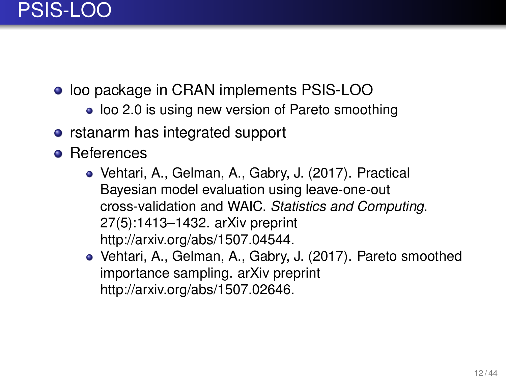

- loo package in CRAN implements PSIS-LOO
	- loo 2.0 is using new version of Pareto smoothing
- rstanarm has integrated support
- **•** References
	- Vehtari, A., Gelman, A., Gabry, J. (2017). Practical Bayesian model evaluation using leave-one-out cross-validation and WAIC. *Statistics and Computing*. 27(5):1413–1432. arXiv preprint [http://arxiv.org/abs/1507.04544.](http://arxiv.org/abs/1507.04544)
	- Vehtari, A., Gelman, A., Gabry, J. (2017). Pareto smoothed importance sampling. arXiv preprint [http://arxiv.org/abs/1507.02646.](http://arxiv.org/abs/1507.02646)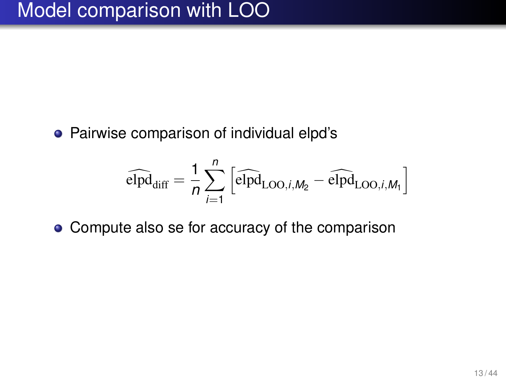Pairwise comparison of individual elpd's

$$
\widehat{\text{elpd}}_{\text{diff}} = \frac{1}{n} \sum_{i=1}^{n} \left[ \widehat{\text{elpd}}_{\text{LOO},i,M_2} - \widehat{\text{elpd}}_{\text{LOO},i,M_1} \right]
$$

• Compute also se for accuracy of the comparison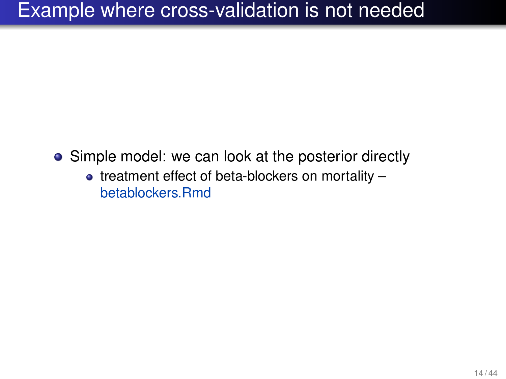### Example where cross-validation is not needed

- Simple model: we can look at the posterior directly
	- $\bullet$  treatment effect of beta-blockers on mortality  $$ betablockers.Rmd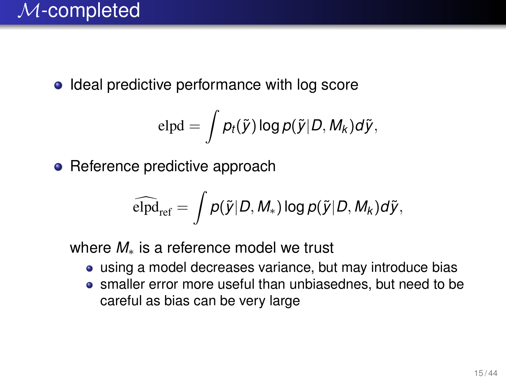• Ideal predictive performance with log score

$$
elpd = \int p_t(\tilde{y}) \log p(\tilde{y}|D, M_k) d\tilde{y},
$$

• Reference predictive approach

$$
\widehat{\text{elpd}}_{\text{ref}} = \int p(\tilde{y}|D, M_*) \log p(\tilde{y}|D, M_k) d\tilde{y},
$$

where *M*<sup>∗</sup> is a reference model we trust

- using a model decreases variance, but may introduce bias
- smaller error more useful than unbiasednes, but need to be careful as bias can be very large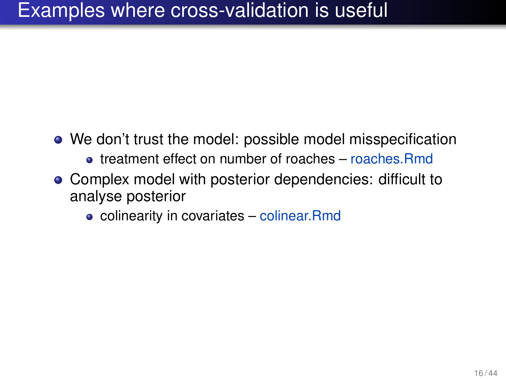### Examples where cross-validation is useful

- We don't trust the model: possible model misspecification
	- treatment effect on number of roaches roaches.Rmd
- Complex model with posterior dependencies: difficult to analyse posterior
	- colinearity in covariates colinear.Rmd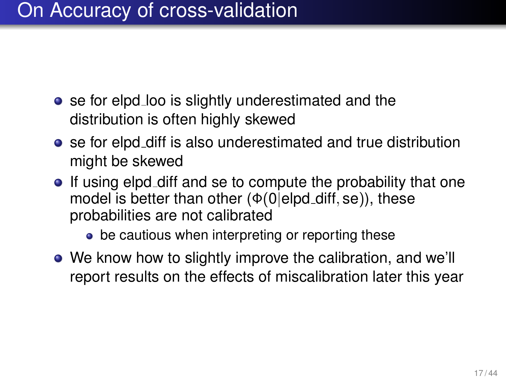### On Accuracy of cross-validation

- se for elpd loo is slightly underestimated and the distribution is often highly skewed
- se for elpd diff is also underestimated and true distribution might be skewed
- If using elpd diff and se to compute the probability that one model is better than other  $(\Phi(0|\text{elpd}_d))$ , these probabilities are not calibrated
	- be cautious when interpreting or reporting these
- We know how to slightly improve the calibration, and we'll report results on the effects of miscalibration later this year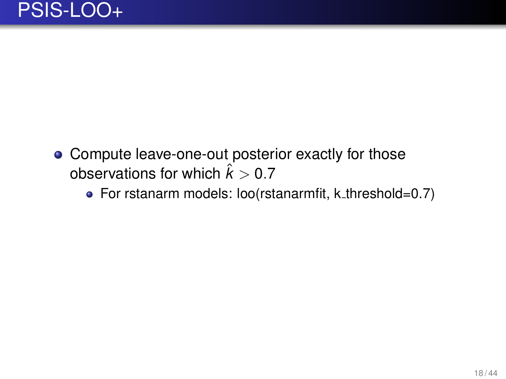- Compute leave-one-out posterior exactly for those observations for which  $\hat{k} > 0.7$ 
	- For rstanarm models: loo(rstanarmfit, k\_threshold=0.7)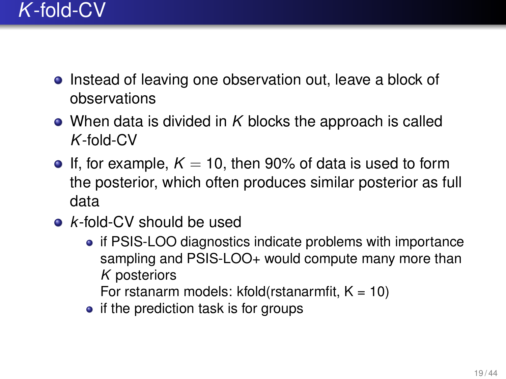- Instead of leaving one observation out, leave a block of observations
- When data is divided in *K* blocks the approach is called *K*-fold-CV
- **If, for example,**  $K = 10$ **, then 90% of data is used to form** the posterior, which often produces similar posterior as full data
- *k*-fold-CV should be used
	- if PSIS-LOO diagnostics indicate problems with importance sampling and PSIS-LOO+ would compute many more than *K* posteriors

For rstanarm models:  $kfold(rstanarnfit, K = 10)$ 

 $\bullet$  if the prediction task is for groups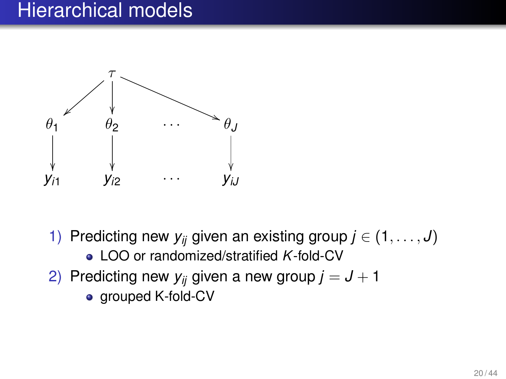#### Hierarchical models



- 1) Predicting new  $y_{ij}$  given an existing group  $j \in (1, \ldots, J)$ 
	- LOO or randomized/stratified *K*-fold-CV
- 2) Predicting new  $y_{ij}$  given a new group  $j = J + 1$ 
	- grouped K-fold-CV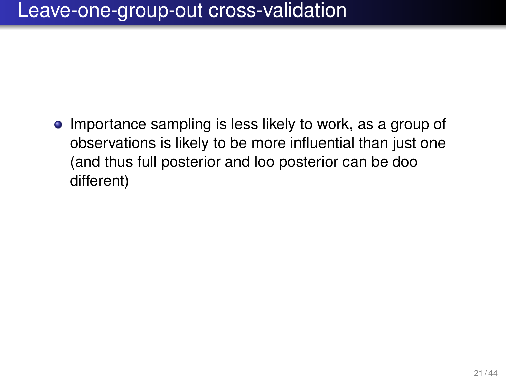### Leave-one-group-out cross-validation

• Importance sampling is less likely to work, as a group of observations is likely to be more influential than just one (and thus full posterior and loo posterior can be doo different)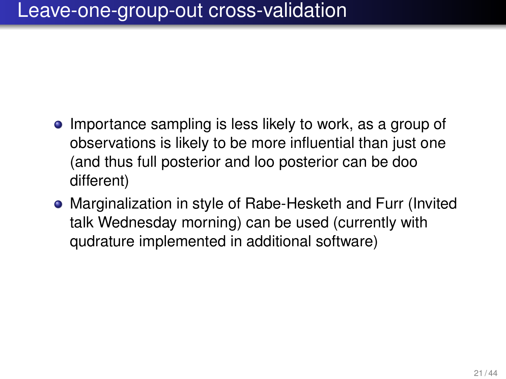### Leave-one-group-out cross-validation

- Importance sampling is less likely to work, as a group of observations is likely to be more influential than just one (and thus full posterior and loo posterior can be doo different)
- Marginalization in style of Rabe-Hesketh and Furr (Invited talk Wednesday morning) can be used (currently with qudrature implemented in additional software)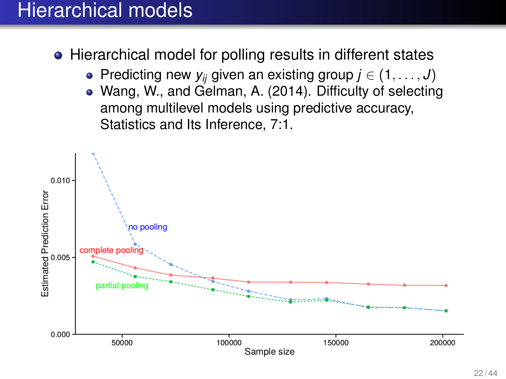### Hierarchical models

• Hierarchical model for polling results in different states

- Predicting new  $y_{ij}$  given an existing group  $j \in (1, \ldots, J)$
- Wang, W., and Gelman, A. (2014). Difficulty of selecting among multilevel models using predictive accuracy, Statistics and Its Inference, 7:1.

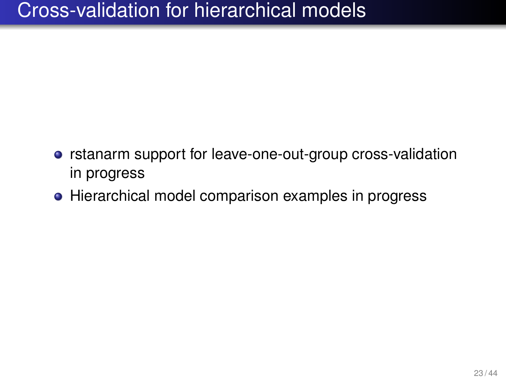### Cross-validation for hierarchical models

- **•** rstanarm support for leave-one-out-group cross-validation in progress
- Hierarchical model comparison examples in progress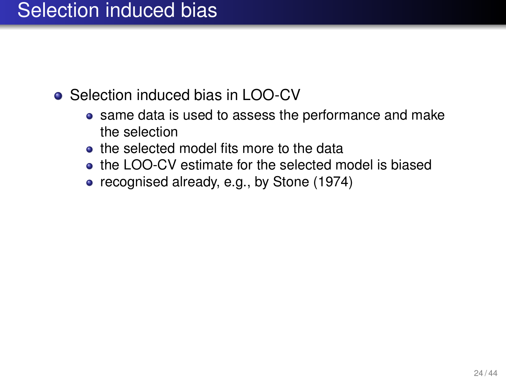### Selection induced bias

- Selection induced bias in LOO-CV
	- same data is used to assess the performance and make the selection
	- the selected model fits more to the data
	- the LOO-CV estimate for the selected model is biased
	- recognised already, e.g., by Stone (1974)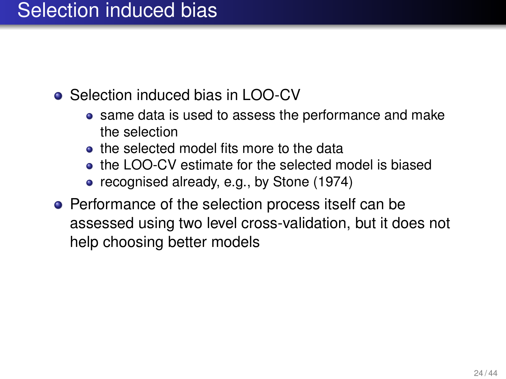### Selection induced bias

- Selection induced bias in LOO-CV
	- same data is used to assess the performance and make the selection
	- the selected model fits more to the data
	- the LOO-CV estimate for the selected model is biased
	- recognised already, e.g., by Stone (1974)
- Performance of the selection process itself can be assessed using two level cross-validation, but it does not help choosing better models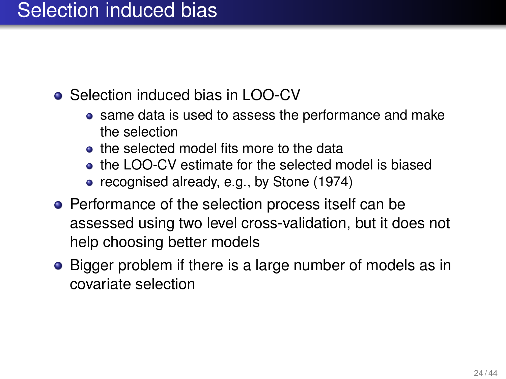### Selection induced bias

- Selection induced bias in LOO-CV
	- same data is used to assess the performance and make the selection
	- the selected model fits more to the data
	- the LOO-CV estimate for the selected model is biased
	- recognised already, e.g., by Stone (1974)
- Performance of the selection process itself can be assessed using two level cross-validation, but it does not help choosing better models
- Bigger problem if there is a large number of models as in covariate selection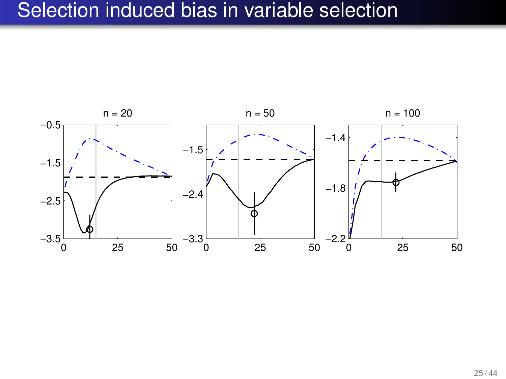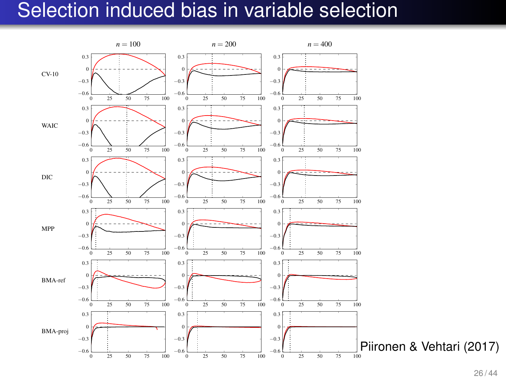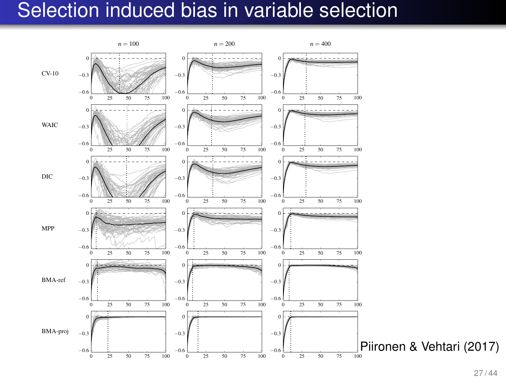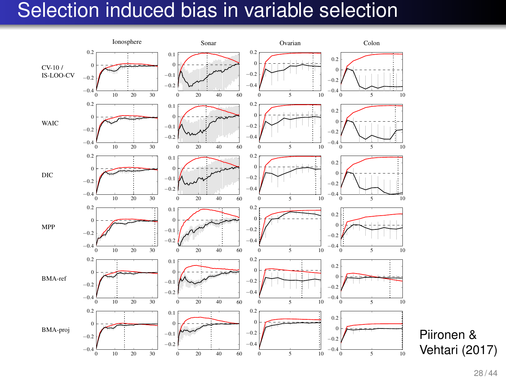

Vehtari (2017)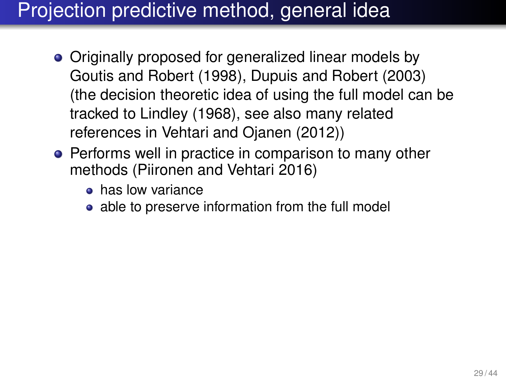# Projection predictive method, general idea

- Originally proposed for generalized linear models by Goutis and Robert (1998), Dupuis and Robert (2003) (the decision theoretic idea of using the full model can be tracked to Lindley (1968), see also many related references in Vehtari and Ojanen (2012))
- Performs well in practice in comparison to many other methods (Piironen and Vehtari 2016)
	- **e** has low variance
	- able to preserve information from the full model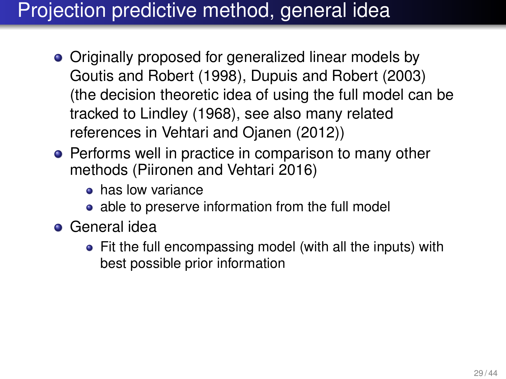# Projection predictive method, general idea

- Originally proposed for generalized linear models by Goutis and Robert (1998), Dupuis and Robert (2003) (the decision theoretic idea of using the full model can be tracked to Lindley (1968), see also many related references in Vehtari and Ojanen (2012))
- Performs well in practice in comparison to many other methods (Piironen and Vehtari 2016)
	- **e** has low variance
	- able to preserve information from the full model
- General idea
	- Fit the full encompassing model (with all the inputs) with best possible prior information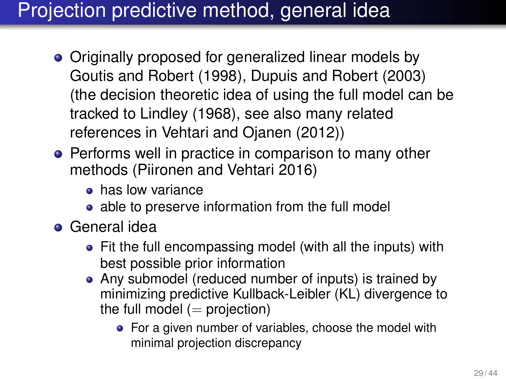# Projection predictive method, general idea

- Originally proposed for generalized linear models by Goutis and Robert (1998), Dupuis and Robert (2003) (the decision theoretic idea of using the full model can be tracked to Lindley (1968), see also many related references in Vehtari and Ojanen (2012))
- Performs well in practice in comparison to many other methods (Piironen and Vehtari 2016)
	- **e** has low variance
	- able to preserve information from the full model
- General idea
	- Fit the full encompassing model (with all the inputs) with best possible prior information
	- Any submodel (reduced number of inputs) is trained by minimizing predictive Kullback-Leibler (KL) divergence to the full model  $(=$  projection)
		- For a given number of variables, choose the model with minimal projection discrepancy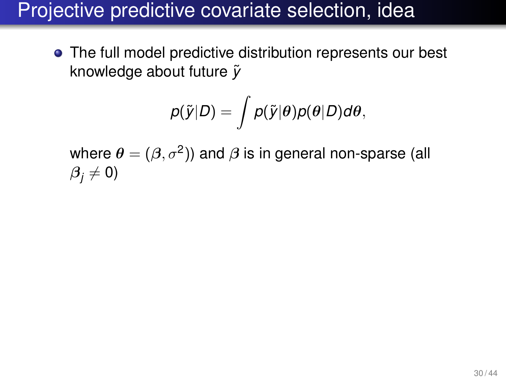The full model predictive distribution represents our best knowledge about future  $\tilde{v}$ 

$$
p(\widetilde{y}|D) = \int p(\widetilde{y}|\theta)p(\theta|D)d\theta,
$$

where  $\boldsymbol{\theta} = (\boldsymbol{\beta}, \sigma^2)$ ) and  $\boldsymbol{\beta}$  is in general non-sparse (all  $\beta_i \neq 0$ )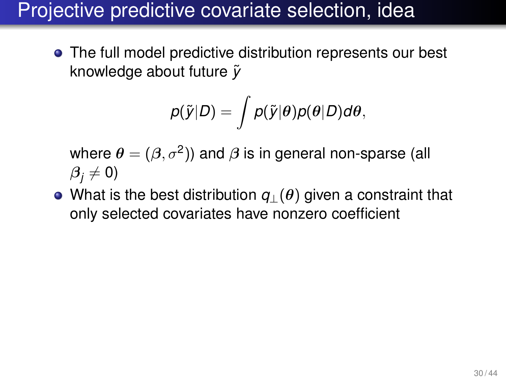The full model predictive distribution represents our best knowledge about future  $\tilde{v}$ 

$$
p(\tilde{y}|D) = \int p(\tilde{y}|\theta)p(\theta|D)d\theta,
$$

where  $\boldsymbol{\theta} = (\boldsymbol{\beta}, \sigma^2)$ ) and  $\boldsymbol{\beta}$  is in general non-sparse (all  $\beta_i \neq 0$ )

What is the best distribution *q*⊥(θ) given a constraint that only selected covariates have nonzero coefficient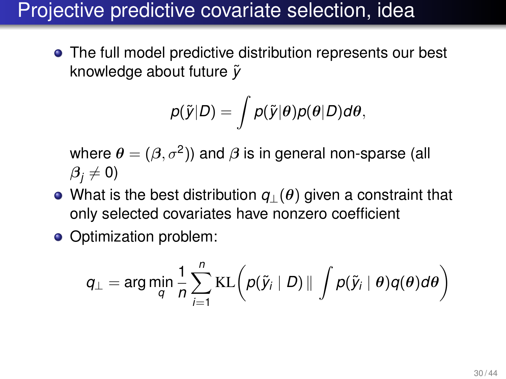The full model predictive distribution represents our best knowledge about future  $\tilde{v}$ 

$$
p(\tilde{y}|D) = \int p(\tilde{y}|\theta)p(\theta|D)d\theta,
$$

where  $\boldsymbol{\theta} = (\boldsymbol{\beta}, \sigma^2)$ ) and  $\boldsymbol{\beta}$  is in general non-sparse (all  $\beta_i \neq 0$ )

- What is the best distribution *q*⊥(θ) given a constraint that only selected covariates have nonzero coefficient
- Optimization problem:

$$
q_{\perp} = \arg\min_{q} \frac{1}{n} \sum_{i=1}^{n} \text{KL}\bigg(p(\tilde{y}_i \mid D) \parallel \int p(\tilde{y}_i \mid \theta) q(\theta) d\theta\bigg)
$$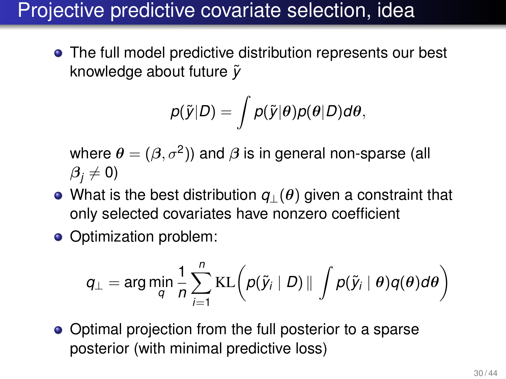The full model predictive distribution represents our best knowledge about future  $\tilde{v}$ 

$$
p(\tilde{y}|D) = \int p(\tilde{y}|\theta)p(\theta|D)d\theta,
$$

where  $\boldsymbol{\theta} = (\boldsymbol{\beta}, \sigma^2)$ ) and  $\boldsymbol{\beta}$  is in general non-sparse (all  $\beta_i \neq 0$ )

- What is the best distribution *q*⊥(θ) given a constraint that only selected covariates have nonzero coefficient
- Optimization problem:

$$
q_{\perp} = \arg\min_{q} \frac{1}{n} \sum_{i=1}^{n} \text{KL}\bigg(p(\tilde{y}_i \mid D) \parallel \int p(\tilde{y}_i \mid \theta) q(\theta) d\theta\bigg)
$$

• Optimal projection from the full posterior to a sparse posterior (with minimal predictive loss)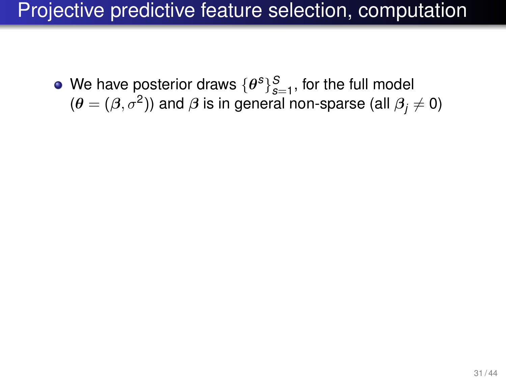We have posterior draws  $\{\theta^s\}_{s=1}^S$ , for the full model *s*=1, for the fall model ( $\theta = (\beta, \sigma^2)$ ) and  $\beta$  is in general non-sparse (all  $\beta_j \neq 0$ )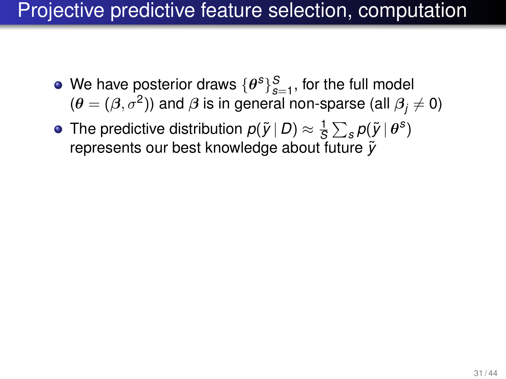- We have posterior draws  $\{\theta^s\}_{s=1}^S$ , for the full model  $(\theta = (\beta, \sigma^2))$  and  $\beta$  is in general non-sparse (all  $\beta_j \neq 0)$
- The predictive distribution  $p(\tilde{\textit{y}} \,|\, D) \approx \frac{1}{\textit{S}}$  $\frac{1}{S}\sum_{s}\rho(\tilde{\textit{y}}\,|\,\theta^{s})$ represents our best knowledge about future  $\tilde{v}$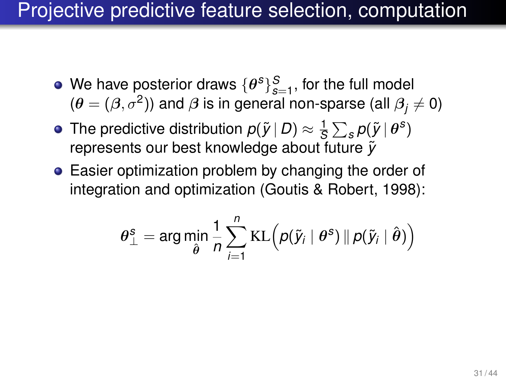- We have posterior draws  $\{\theta^s\}_{s=1}^S$ , for the full model  $(\theta = (\beta, \sigma^2))$  and  $\beta$  is in general non-sparse (all  $\beta_j \neq 0)$
- The predictive distribution  $p(\tilde{\textit{y}} \,|\, D) \approx \frac{1}{\textit{S}}$  $\frac{1}{S}\sum_{s}\rho(\tilde{\textit{y}}\,|\,\theta^{s})$ represents our best knowledge about future  $\tilde{v}$
- Easier optimization problem by changing the order of integration and optimization (Goutis & Robert, 1998):

$$
\boldsymbol{\theta}_{\perp}^{\mathcal{S}} = \arg \min_{\hat{\boldsymbol{\theta}}} \frac{1}{n} \sum_{i=1}^{n} \text{KL} \Big( p(\tilde{\textbf{y}}_{i} \mid \boldsymbol{\theta}^{\mathcal{S}}) \Vert p(\tilde{\textbf{y}}_{i} \mid \hat{\boldsymbol{\theta}}) \Big)
$$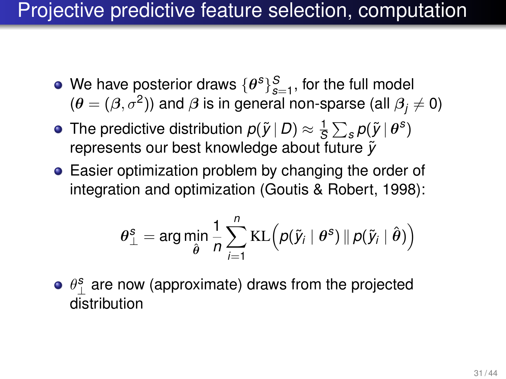- We have posterior draws  $\{\theta^s\}_{s=1}^S$ , for the full model  $(\theta = (\beta, \sigma^2))$  and  $\beta$  is in general non-sparse (all  $\beta_j \neq 0)$
- The predictive distribution  $p(\tilde{\textit{y}} \,|\, D) \approx \frac{1}{\textit{S}}$  $\frac{1}{S}\sum_{s}\rho(\tilde{\textit{y}}\,|\,\theta^{s})$ represents our best knowledge about future  $\tilde{v}$
- Easier optimization problem by changing the order of integration and optimization (Goutis & Robert, 1998):

$$
\boldsymbol{\theta}_{\perp}^{\text{s}} = \arg \min_{\hat{\boldsymbol{\theta}}} \frac{1}{n} \sum_{i=1}^{n} \text{KL} \Big( \rho(\tilde{\textbf{y}}_{i} \mid \boldsymbol{\theta}^{\text{s}}) \, \| \, \rho(\tilde{\textbf{y}}_{i} \mid \hat{\boldsymbol{\theta}}) \Big)
$$

 $\theta_\perp^{\mathbf{s}}$  are now (approximate) draws from the projected distribution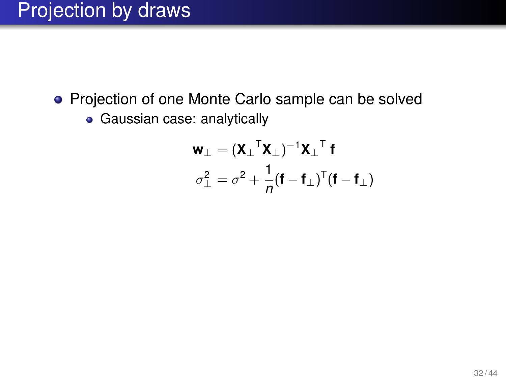# Projection by draws

- Projection of one Monte Carlo sample can be solved
	- Gaussian case: analytically

$$
\mathbf{w}_{\perp} = (\mathbf{X}_{\perp}^{\top} \mathbf{X}_{\perp})^{-1} \mathbf{X}_{\perp}^{\top} \mathbf{f}
$$

$$
\sigma_{\perp}^{2} = \sigma^{2} + \frac{1}{n} (\mathbf{f} - \mathbf{f}_{\perp})^{\top} (\mathbf{f} - \mathbf{f}_{\perp})
$$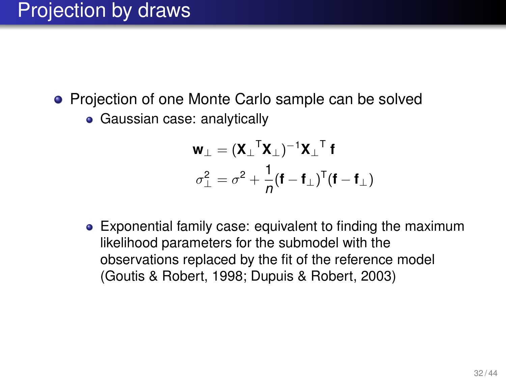### Projection by draws

- Projection of one Monte Carlo sample can be solved
	- Gaussian case: analytically

$$
\mathbf{w}_{\perp} = (\mathbf{X}_{\perp}^{\top} \mathbf{X}_{\perp})^{-1} \mathbf{X}_{\perp}^{\top} \mathbf{f}
$$

$$
\sigma_{\perp}^{2} = \sigma^{2} + \frac{1}{n} (\mathbf{f} - \mathbf{f}_{\perp})^{\top} (\mathbf{f} - \mathbf{f}_{\perp})
$$

Exponential family case: equivalent to finding the maximum likelihood parameters for the submodel with the observations replaced by the fit of the reference model (Goutis & Robert, 1998; Dupuis & Robert, 2003)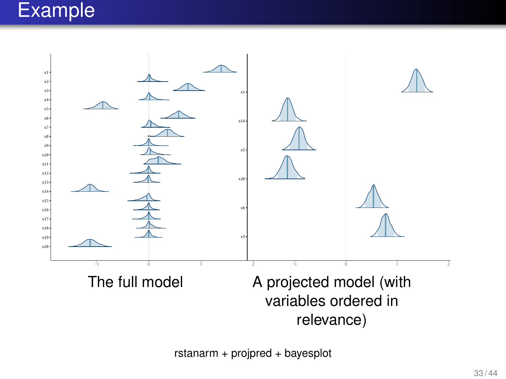### Example



rstanarm + projpred + bayesplot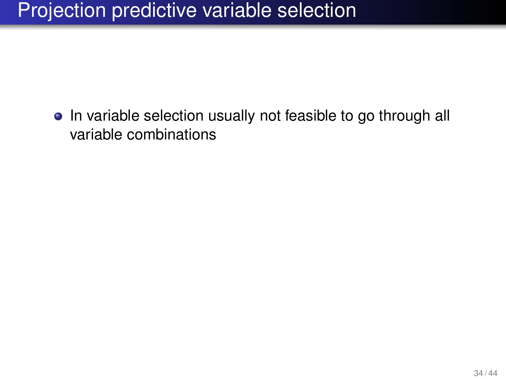# Projection predictive variable selection

• In variable selection usually not feasible to go through all variable combinations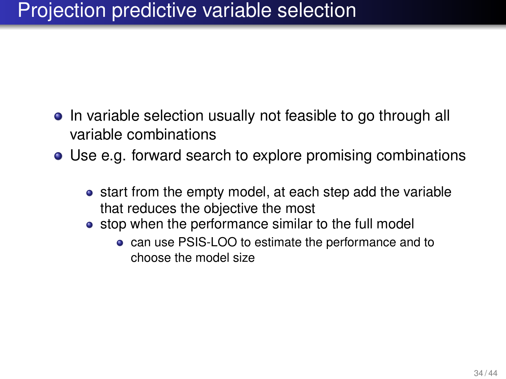# Projection predictive variable selection

- In variable selection usually not feasible to go through all variable combinations
- Use e.g. forward search to explore promising combinations
	- start from the empty model, at each step add the variable that reduces the objective the most
	- stop when the performance similar to the full model
		- can use PSIS-LOO to estimate the performance and to choose the model size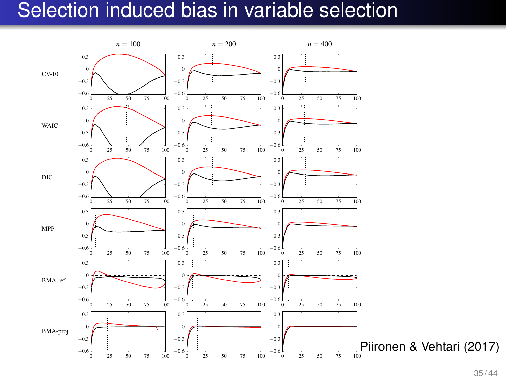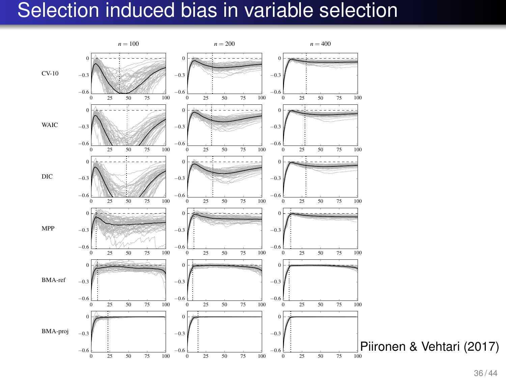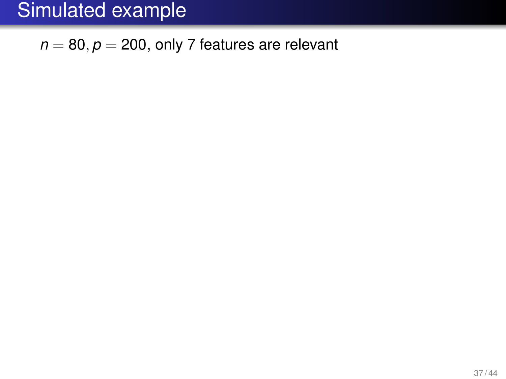$n = 80, p = 200$ , only 7 features are relevant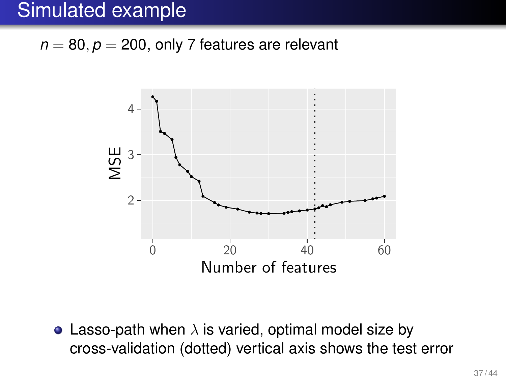$n = 80, p = 200$ , only 7 features are relevant



• Lasso-path when  $\lambda$  is varied, optimal model size by cross-validation (dotted) vertical axis shows the test error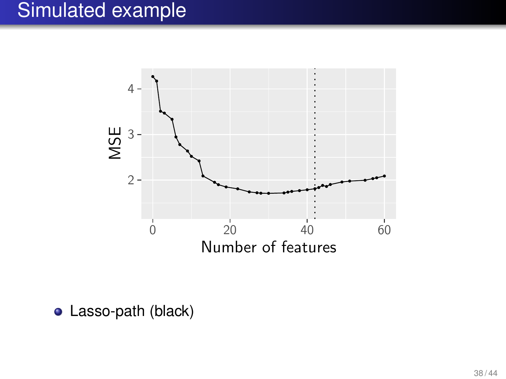

Lasso-path (black)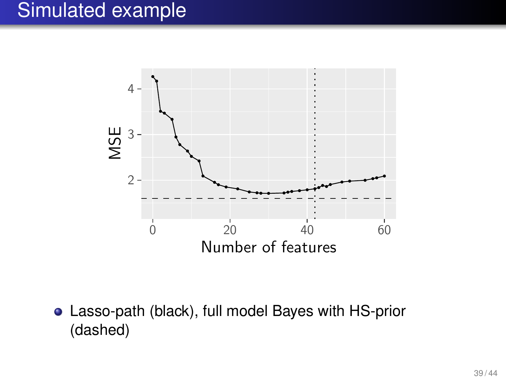

Lasso-path (black), full model Bayes with HS-prior (dashed)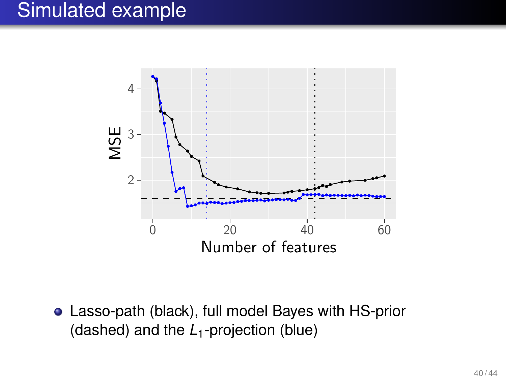

Lasso-path (black), full model Bayes with HS-prior (dashed) and the *L*1-projection (blue)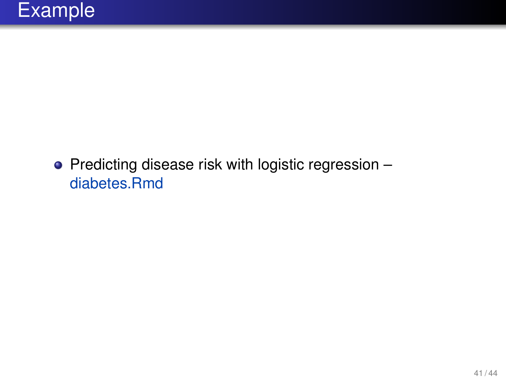$\bullet$  Predicting disease risk with logistic regression – diabetes.Rmd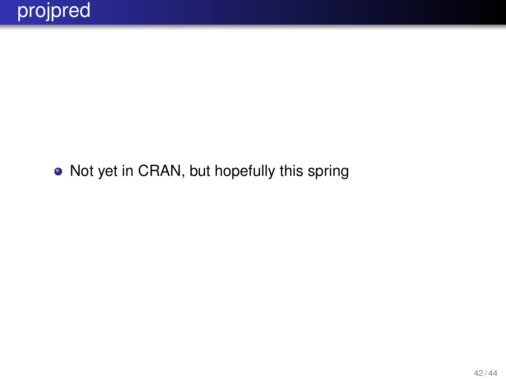#### • Not yet in CRAN, but hopefully this spring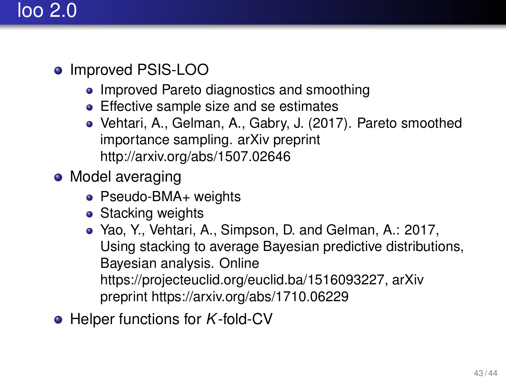# loo 2.0

- Improved PSIS-LOO
	- Improved Pareto diagnostics and smoothing
	- **Effective sample size and se estimates**
	- Vehtari, A., Gelman, A., Gabry, J. (2017). Pareto smoothed importance sampling. arXiv preprint <http://arxiv.org/abs/1507.02646>
- Model averaging
	- Pseudo-BMA+ weights
	- Stacking weights
	- Yao, Y., Vehtari, A., Simpson, D. and Gelman, A.: 2017, Using stacking to average Bayesian predictive distributions, Bayesian analysis. Online [https://projecteuclid.org/euclid.ba/1516093227,](https://projecteuclid.org/euclid.ba/1516093227) arXiv preprint<https://arxiv.org/abs/1710.06229>
- Helper functions for *K*-fold-CV